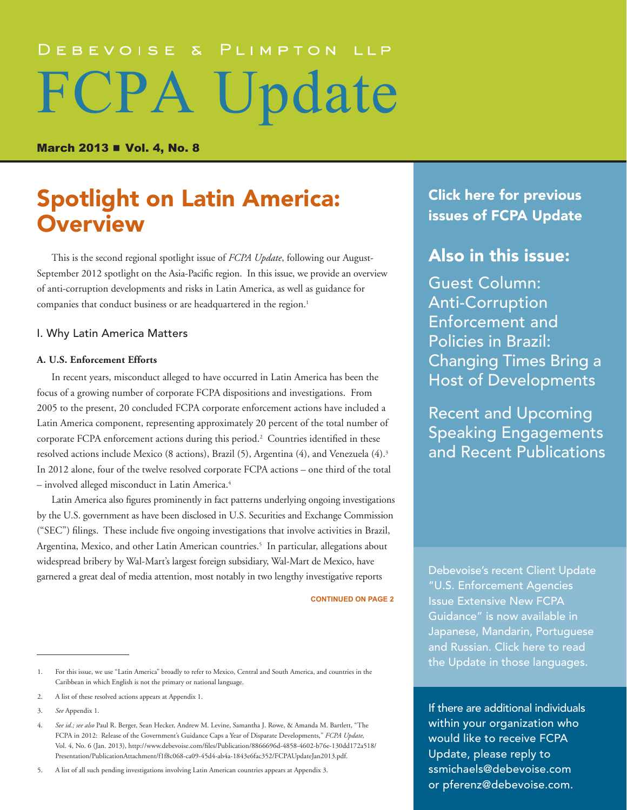# DEBEVOISE & PLIMPTON LLP FCPA Update

March 2013 **n** Vol. 4, No. 8

# **Spotlight on Latin America:** Click here for previous<br> **Click here for previous**<br> [issues of FCPA Update](http://www.debevoise.com/newseventspubs/publications/pubslist.aspx?id=956f0a96-2673-4839-b8de-25f36e36975e&type=viewall) **Overview**

This is the second regional spotlight issue of *FCPA Update*, following our August-September 2012 spotlight on the Asia-Pacific region. In this issue, we provide an overview of anti-corruption developments and risks in Latin America, as well as guidance for companies that conduct business or are headquartered in the region.<sup>1</sup>

## I. Why Latin America Matters

### **A. U.S. Enforcement Efforts**

In recent years, misconduct alleged to have occurred in Latin America has been the focus of a growing number of corporate FCPA dispositions and investigations. From 2005 to the present, 20 concluded FCPA corporate enforcement actions have included a Latin America component, representing approximately 20 percent of the total number of corporate FCPA enforcement actions during this period.<sup>2</sup> Countries identified in these resolved actions include Mexico (8 actions), Brazil (5), Argentina (4), and Venezuela (4).3 In 2012 alone, four of the twelve resolved corporate FCPA actions – one third of the total – involved alleged misconduct in Latin America.4

Latin America also figures prominently in fact patterns underlying ongoing investigations by the U.S. government as have been disclosed in U.S. Securities and Exchange Commission ("SEC") filings. These include five ongoing investigations that involve activities in Brazil, Argentina, Mexico, and other Latin American countries.<sup>5</sup> In particular, allegations about widespread bribery by Wal-Mart's largest foreign subsidiary, Wal-Mart de Mexico, have garnered a great deal of media attention, most notably in two lengthy investigative reports

**CONTINUED ON PAGE 2**

5. A list of all such pending investigations involving Latin American countries appears at Appendix 3.

[Click here for previous](http://www.debevoise.com/newseventspubs/publications/pubslist.aspx?id=956f0a96-2673-4839-b8de-25f36e36975e&type=viewall) 

# Also in this issue:

Guest Column: [Anti-Corruption](#page-10-0)  [Enforcement and](#page-10-0)  [Policies in Brazil:](#page-10-0)  [Changing Times Bring a](#page-10-0)  [Host of Developments](#page-10-0)

[Recent and Upcoming](#page-14-0)  [Speaking Engagements](#page-14-0)  [and Recent Publications](#page-14-0)

[Debevoise's recent Client Update](http://www.debevoise.com/newseventspubs/publications/detail.aspx?id=20087a22-f27d-45dd-a992-caa8a19e4ee8)  ["U.S. Enforcement Agencies](http://www.debevoise.com/newseventspubs/publications/detail.aspx?id=20087a22-f27d-45dd-a992-caa8a19e4ee8)  [Issue Extensive New FCPA](http://www.debevoise.com/newseventspubs/publications/detail.aspx?id=20087a22-f27d-45dd-a992-caa8a19e4ee8)  [Guidance" is now available in](http://www.debevoise.com/newseventspubs/publications/detail.aspx?id=20087a22-f27d-45dd-a992-caa8a19e4ee8)  [Japanese, Mandarin, Portuguese](http://www.debevoise.com/newseventspubs/publications/detail.aspx?id=20087a22-f27d-45dd-a992-caa8a19e4ee8)  [and Russian. Click here to read](http://www.debevoise.com/newseventspubs/publications/detail.aspx?id=20087a22-f27d-45dd-a992-caa8a19e4ee8)  [the Update in those languages.](http://www.debevoise.com/newseventspubs/publications/detail.aspx?id=20087a22-f27d-45dd-a992-caa8a19e4ee8)

If there are additional individuals within your organization who would like to receive FCPA Update, please reply to [ssmichaels@debevoise.com](mailto:ssmichaels@debevoise.com)  or [pferenz@debevoise.com.](mailto:pferenz@debevoise.com)

<sup>1.</sup> For this issue, we use "Latin America" broadly to refer to Mexico, Central and South America, and countries in the Caribbean in which English is not the primary or national language.

<sup>2.</sup> A list of these resolved actions appears at Appendix 1.

<sup>3.</sup> *See* Appendix 1.

<sup>4.</sup> *See id.; see also* Paul R. Berger, Sean Hecker, Andrew M. Levine, Samantha J. Rowe, & Amanda M. Bartlett, "The FCPA in 2012: Release of the Government's Guidance Caps a Year of Disparate Developments," *FCPA Update,* Vol. 4, No. 6 (Jan. 2013), [http://www.debevoise.com/files/Publication/8866696d-4858-4602-b76e-130dd172a518/](http://www.debevoise.com/files/Publication/8866696d-4858-4602-b76e-130dd172a518/Presentation/PublicationAttachment/f1f8c068-ca09-45d4-ab4a-1843e6fac352/FCPAUpdateJan2013.pdf) [Presentation/PublicationAttachment/f1f8c068-ca09-45d4-ab4a-1843e6fac352/FCPAUpdateJan2013.pdf.](http://www.debevoise.com/files/Publication/8866696d-4858-4602-b76e-130dd172a518/Presentation/PublicationAttachment/f1f8c068-ca09-45d4-ab4a-1843e6fac352/FCPAUpdateJan2013.pdf)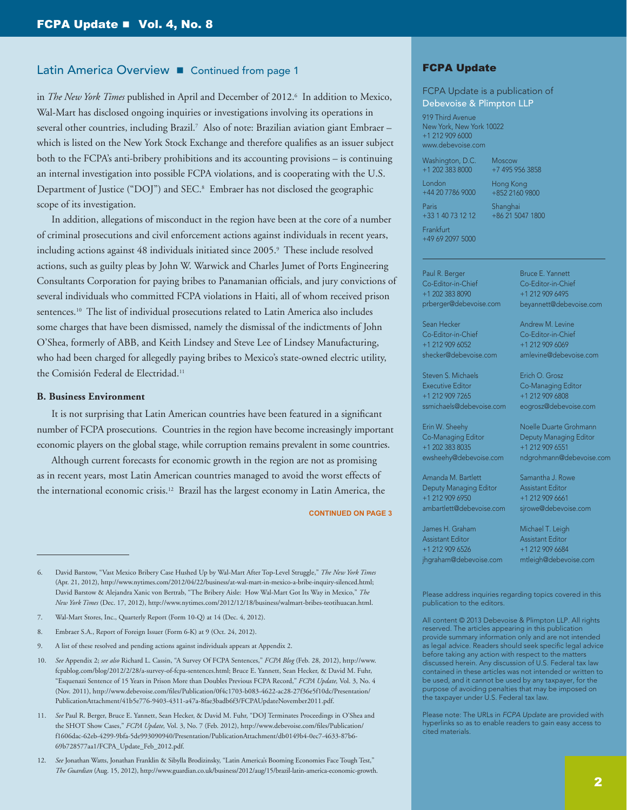in *The New York Times* published in April and December of 2012.6 In addition to Mexico, Wal-Mart has disclosed ongoing inquiries or investigations involving its operations in several other countries, including Brazil.7 Also of note: Brazilian aviation giant Embraer – which is listed on the New York Stock Exchange and therefore qualifies as an issuer subject both to the FCPA's anti-bribery prohibitions and its accounting provisions – is continuing an internal investigation into possible FCPA violations, and is cooperating with the U.S. Department of Justice ("DOJ") and SEC.<sup>8</sup> Embraer has not disclosed the geographic scope of its investigation.

In addition, allegations of misconduct in the region have been at the core of a number of criminal prosecutions and civil enforcement actions against individuals in recent years, including actions against 48 individuals initiated since 2005.9 These include resolved actions, such as guilty pleas by John W. Warwick and Charles Jumet of Ports Engineering Consultants Corporation for paying bribes to Panamanian officials, and jury convictions of several individuals who committed FCPA violations in Haiti, all of whom received prison sentences.10 The list of individual prosecutions related to Latin America also includes some charges that have been dismissed, namely the dismissal of the indictments of John O'Shea, formerly of ABB, and Keith Lindsey and Steve Lee of Lindsey Manufacturing, who had been charged for allegedly paying bribes to Mexico's state-owned electric utility, the Comisión Federal de Electridad.<sup>11</sup>

### **B. Business Environment**

It is not surprising that Latin American countries have been featured in a significant number of FCPA prosecutions. Countries in the region have become increasingly important economic players on the global stage, while corruption remains prevalent in some countries.

Although current forecasts for economic growth in the region are not as promising as in recent years, most Latin American countries managed to avoid the worst effects of the international economic crisis.12 Brazil has the largest economy in Latin America, the

**CONTINUED ON PAGE 3**

## FCPA Update

FCPA Update is a publication of Debevoise & Plimpton LLP

919 Third Avenue New York, New York 10022 +1 212 909 6000 www.debevoise.com

Washington, D.C.

Moscow +7 495 956 3858

London +44 20 7786 9000 Paris

+1 202 383 8000

Hong Kong +852 2160 9800

Shanghai +86 21 5047 1800

Frankfurt +49 69 2097 5000

+33 1 40 73 12 12

Paul R. Berger Co-Editor-in-Chief +1 202 383 8090 prberger@debevoise.com

Sean Hecker Co-Editor-in-Chief +1 212 909 6052 shecker@debevoise.com

Steven S. Michaels Executive Editor +1 212 909 7265 ssmichaels@debevoise.com

Erin W. Sheehy Co-Managing Editor +1 202 383 8035 ewsheehy@debevoise.com

Amanda M. Bartlett Deputy Managing Editor +1 212 909 6950 ambartlett@debevoise.com

James H. Graham Assistant Editor +1 212 909 6526 jhgraham@debevoise.com Bruce E. Yannett Co-Editor-in-Chief +1 212 909 6495 beyannett@debevoise.com

Andrew M. Levine Co-Editor-in-Chief +1 212 909 6069 amlevine@debevoise.com

Erich O. Grosz Co-Managing Editor +1 212 909 6808 eogrosz@debevoise.com

Noelle Duarte Grohmann Deputy Managing Editor +1 212 909 6551 ndgrohmann@debevoise.com

Samantha J. Rowe Assistant Editor +1 212 909 6661 sjrowe@debevoise.com

Michael T. Leigh Assistant Editor +1 212 909 6684 mtleigh@debevoise.com

Please address inquiries regarding topics covered in this publication to the editors.

All content © 2013 Debevoise & Plimpton LLP. All rights reserved. The articles appearing in this publication provide summary information only and are not intended as legal advice. Readers should seek specific legal advice before taking any action with respect to the matters discussed herein. Any discussion of U.S. Federal tax law contained in these articles was not intended or written to be used, and it cannot be used by any taxpayer, for the purpose of avoiding penalties that may be imposed on the taxpayer under U.S. Federal tax law.

Please note: The URLs in *FCPA Update* are provided with hyperlinks so as to enable readers to gain easy access to cited materials.

<sup>6.</sup> David Barstow, "Vast Mexico Bribery Case Hushed Up by Wal-Mart After Top-Level Struggle," *The New York Times* (Apr. 21, 2012), <http://www.nytimes.com/2012/04/22/business/at-wal-mart-in-mexico-a-bribe-inquiry-silenced.html>; David Barstow & Alejandra Xanic von Bertrab, "The Bribery Aisle: How Wal-Mart Got Its Way in Mexico," *The New York Times* (Dec. 17, 2012), [http://www.nytimes.com/2012/12/18/business/walmart-bribes-teotihuacan.html.](http://www.nytimes.com/2012/12/18/business/walmart-bribes-teotihuacan.html)

<sup>7.</sup> Wal-Mart Stores, Inc., Quarterly Report (Form 10-Q) at 14 (Dec. 4, 2012).

<sup>8.</sup> Embraer S.A., Report of Foreign Issuer (Form 6-K) at 9 (Oct. 24, 2012).

<sup>9.</sup> A list of these resolved and pending actions against individuals appears at Appendix 2.

<sup>10.</sup> *See* Appendix 2; *see also* Richard L. Cassin, "A Survey Of FCPA Sentences," *FCPA Blog* (Feb. 28, 2012), [http://www.](http://www.fcpablog.com/blog/2012/2/28/a-survey-of-fcpa-sentences.html) [fcpablog.com/blog/2012/2/28/a-survey-of-fcpa-sentences.html;](http://www.fcpablog.com/blog/2012/2/28/a-survey-of-fcpa-sentences.html) Bruce E. Yannett, Sean Hecker, & David M. Fuhr, "Esquenazi Sentence of 15 Years in Prison More than Doubles Previous FCPA Record," *FCPA Update,* Vol. 3, No. 4 (Nov. 2011), [http://www.debevoise.com/files/Publication/0f4c1703-b083-4622-ac28-27f36e5f10dc/Presentation/](http://www.debevoise.com/files/Publication/0f4c1703-b083-4622-ac28-27f36e5f10dc/Presentation/PublicationAttachment/41b5e776-9403-4311-a47a-8fae3badb6f3/FCPAUpdateNovember2011.pdf) [PublicationAttachment/41b5e776-9403-4311-a47a-8fae3badb6f3/FCPAUpdateNovember2011.pdf.](http://www.debevoise.com/files/Publication/0f4c1703-b083-4622-ac28-27f36e5f10dc/Presentation/PublicationAttachment/41b5e776-9403-4311-a47a-8fae3badb6f3/FCPAUpdateNovember2011.pdf)

<sup>11.</sup> *See* Paul R. Berger, Bruce E. Yannett, Sean Hecker, & David M. Fuhr, "DOJ Terminates Proceedings in O'Shea and the SHOT Show Cases," *FCPA Update,* Vol. 3, No. 7 (Feb. 2012), [http://www.debevoise.com/files/Publication/](http://www.debevoise.com/files/Publication/f1606dac-62eb-4299-9bfa-5de993090940/Presentation/PublicationAttachment/db0149b4-0ec7-4633-87b6-69b728577aa1/FCPA_Update_Feb_2012.pdf) [f1606dac-62eb-4299-9bfa-5de993090940/Presentation/PublicationAttachment/db0149b4-0ec7-4633-87b6-](http://www.debevoise.com/files/Publication/f1606dac-62eb-4299-9bfa-5de993090940/Presentation/PublicationAttachment/db0149b4-0ec7-4633-87b6-69b728577aa1/FCPA_Update_Feb_2012.pdf) [69b728577aa1/FCPA\\_Update\\_Feb\\_2012.pdf](http://www.debevoise.com/files/Publication/f1606dac-62eb-4299-9bfa-5de993090940/Presentation/PublicationAttachment/db0149b4-0ec7-4633-87b6-69b728577aa1/FCPA_Update_Feb_2012.pdf).

<sup>12.</sup> *See* Jonathan Watts, Jonathan Franklin & Sibylla Brodizinsky, "Latin America's Booming Economies Face Tough Test," *The Guardian* (Aug. 15, 2012),<http://www.guardian.co.uk/business/2012/aug/15/brazil-latin-america-economic-growth>.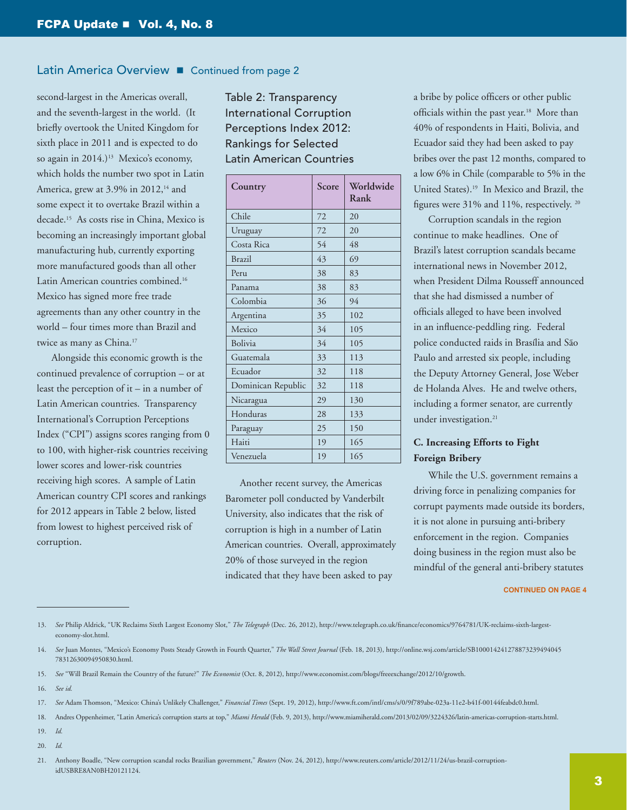second-largest in the Americas overall, and the seventh-largest in the world. (It briefly overtook the United Kingdom for sixth place in 2011 and is expected to do so again in 2014.)<sup>13</sup> Mexico's economy, which holds the number two spot in Latin America, grew at 3.9% in 2012,<sup>14</sup> and some expect it to overtake Brazil within a decade.15 As costs rise in China, Mexico is becoming an increasingly important global manufacturing hub, currently exporting more manufactured goods than all other Latin American countries combined.16 Mexico has signed more free trade agreements than any other country in the world – four times more than Brazil and twice as many as China.17

Alongside this economic growth is the continued prevalence of corruption – or at least the perception of it – in a number of Latin American countries. Transparency International's Corruption Perceptions Index ("CPI") assigns scores ranging from 0 to 100, with higher-risk countries receiving lower scores and lower-risk countries receiving high scores. A sample of Latin American country CPI scores and rankings for 2012 appears in Table 2 below, listed from lowest to highest perceived risk of corruption.

Table 2: Transparency International Corruption Perceptions Index 2012: Rankings for Selected Latin American Countries

| Country            | Score | Worldwide<br>Rank |
|--------------------|-------|-------------------|
| Chile              | 72    | 20                |
| Uruguay            | 72    | 20                |
| Costa Rica         | 54    | 48                |
| <b>Brazil</b>      | 43    | 69                |
| Peru               | 38    | 83                |
| Panama             | 38    | 83                |
| Colombia           | 36    | 94                |
| Argentina          | 35    | 102               |
| Mexico             | 34    | 105               |
| Bolivia            | 34    | 105               |
| Guatemala          | 33    | 113               |
| Ecuador            | 32    | 118               |
| Dominican Republic | 32    | 118               |
| Nicaragua          | 29    | 130               |
| Honduras           | 28    | 133               |
| Paraguay           | 25    | 150               |
| Haiti              | 19    | 165               |
| Venezuela          | 19    | 165               |

Another recent survey, the Americas Barometer poll conducted by Vanderbilt University, also indicates that the risk of corruption is high in a number of Latin American countries. Overall, approximately 20% of those surveyed in the region indicated that they have been asked to pay

a bribe by police officers or other public officials within the past year.<sup>18</sup> More than 40% of respondents in Haiti, Bolivia, and Ecuador said they had been asked to pay bribes over the past 12 months, compared to a low 6% in Chile (comparable to 5% in the United States).19 In Mexico and Brazil, the figures were 31% and 11%, respectively. 20

Corruption scandals in the region continue to make headlines. One of Brazil's latest corruption scandals became international news in November 2012, when President Dilma Rousseff announced that she had dismissed a number of officials alleged to have been involved in an influence-peddling ring. Federal police conducted raids in Brasília and São Paulo and arrested six people, including the Deputy Attorney General, Jose Weber de Holanda Alves. He and twelve others, including a former senator, are currently under investigation.<sup>21</sup>

# **C. Increasing Efforts to Fight Foreign Bribery**

While the U.S. government remains a driving force in penalizing companies for corrupt payments made outside its borders, it is not alone in pursuing anti-bribery enforcement in the region. Companies doing business in the region must also be mindful of the general anti-bribery statutes

- 13. *See* Philip Aldrick, "UK Reclaims Sixth Largest Economy Slot," *The Telegraph* (Dec. 26, 2012), [http://www.telegraph.co.uk/finance/economics/9764781/UK-reclaims-sixth-largest](http://www.telegraph.co.uk/finance/economics/9764781/UK-reclaims-sixth-largest-economy-slot.html)[economy-slot.html](http://www.telegraph.co.uk/finance/economics/9764781/UK-reclaims-sixth-largest-economy-slot.html).
- 14. *See* Juan Montes, "Mexico's Economy Posts Steady Growth in Fourth Quarter," *The Wall Street Journal* (Feb. 18, 2013), [http://online.wsj.com/article/SB100014241278873239494045](http://online.wsj.com/article/SB10001424127887323949404578312630094950830.html) [78312630094950830.html](http://online.wsj.com/article/SB10001424127887323949404578312630094950830.html).
- 15. *See* "Will Brazil Remain the Country of the future?" *The Economist* (Oct. 8, 2012),<http://www.economist.com/blogs/freeexchange/2012/10/growth>.
- 16. *See id.*

- 18. Andres Oppenheimer, "Latin America's corruption starts at top," *Miami Herald* (Feb. 9, 2013), [http://www.miamiherald.com/2013/02/09/3224326/latin-americas-corruption-starts.html.](http://www.miamiherald.com/2013/02/09/3224326/latin-americas-corruption-starts.html)
- 19. *Id.*
- 20. *Id.*

<sup>17.</sup> *See* Adam Thomson, "Mexico: China's Unlikely Challenger," *Financial Times* (Sept. 19, 2012), [http://www.ft.com/intl/cms/s/0/9f789abe-023a-11e2-b41f-00144feabdc0.html.](http://www.ft.com/intl/cms/s/0/9f789abe-023a-11e2-b41f-00144feabdc0.html)

<sup>21.</sup> Anthony Boadle, "New corruption scandal rocks Brazilian government," *Reuters* (Nov. 24, 2012), [http://www.reuters.com/article/2012/11/24/us-brazil-corruption](http://www.reuters.com/article/2012/11/24/us-brazil-corruption-idUSBRE8AN0BH20121124)[idUSBRE8AN0BH20121124.](http://www.reuters.com/article/2012/11/24/us-brazil-corruption-idUSBRE8AN0BH20121124)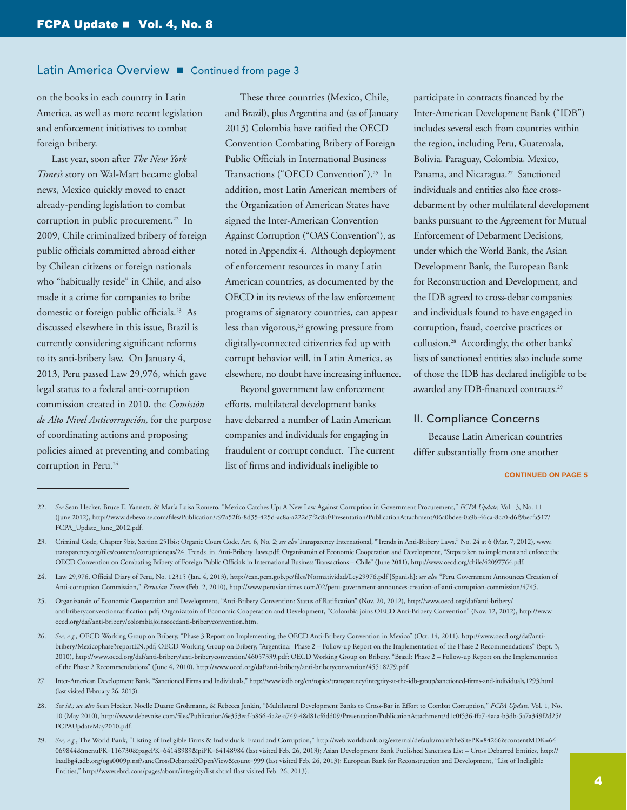on the books in each country in Latin America, as well as more recent legislation and enforcement initiatives to combat foreign bribery.

Last year, soon after *The New York Times's* story on Wal-Mart became global news, Mexico quickly moved to enact already-pending legislation to combat corruption in public procurement.<sup>22</sup> In 2009, Chile criminalized bribery of foreign public officials committed abroad either by Chilean citizens or foreign nationals who "habitually reside" in Chile, and also made it a crime for companies to bribe domestic or foreign public officials.23 As discussed elsewhere in this issue, Brazil is currently considering significant reforms to its anti-bribery law. On January 4, 2013, Peru passed Law 29,976, which gave legal status to a federal anti-corruption commission created in 2010, the *Comisión de Alto Nivel Anticorrupción,* for the purpose of coordinating actions and proposing policies aimed at preventing and combating corruption in Peru.<sup>24</sup>

These three countries (Mexico, Chile, and Brazil), plus Argentina and (as of January 2013) Colombia have ratified the OECD Convention Combating Bribery of Foreign Public Officials in International Business Transactions ("OECD Convention").<sup>25</sup> In addition, most Latin American members of the Organization of American States have signed the Inter-American Convention Against Corruption ("OAS Convention"), as noted in Appendix 4. Although deployment of enforcement resources in many Latin American countries, as documented by the OECD in its reviews of the law enforcement programs of signatory countries, can appear less than vigorous,<sup>26</sup> growing pressure from digitally-connected citizenries fed up with corrupt behavior will, in Latin America, as elsewhere, no doubt have increasing influence.

Beyond government law enforcement efforts, multilateral development banks have debarred a number of Latin American companies and individuals for engaging in fraudulent or corrupt conduct. The current list of firms and individuals ineligible to

participate in contracts financed by the Inter-American Development Bank ("IDB") includes several each from countries within the region, including Peru, Guatemala, Bolivia, Paraguay, Colombia, Mexico, Panama, and Nicaragua.<sup>27</sup> Sanctioned individuals and entities also face crossdebarment by other multilateral development banks pursuant to the Agreement for Mutual Enforcement of Debarment Decisions, under which the World Bank, the Asian Development Bank, the European Bank for Reconstruction and Development, and the IDB agreed to cross-debar companies and individuals found to have engaged in corruption, fraud, coercive practices or collusion.28 Accordingly, the other banks' lists of sanctioned entities also include some of those the IDB has declared ineligible to be awarded any IDB-financed contracts.29

### II. Compliance Concerns

Because Latin American countries differ substantially from one another

- 28. *See id.; see also* Sean Hecker, Noelle Duarte Grohmann, & Rebecca Jenkin, "Multilateral Development Banks to Cross-Bar in Effort to Combat Corruption," *FCPA Update,* Vol. 1, No. 10 (May 2010), [http://www.debevoise.com/files/Publication/6e353eaf-b866-4a2e-a749-48d81cf6dd09/Presentation/PublicationAttachment/d1c0f536-ffa7-4aaa-b3db-5a7a349f2d25/](http://www.debevoise.com/files/Publication/6e353eaf-b866-4a2e-a749-48d81cf6dd09/Presentation/PublicationAttachment/d1c0f536-ffa7-4aaa-b3db-5a7a349f2d25/FCPAUpdateMay2010.pdf) [FCPAUpdateMay2010.pdf](http://www.debevoise.com/files/Publication/6e353eaf-b866-4a2e-a749-48d81cf6dd09/Presentation/PublicationAttachment/d1c0f536-ffa7-4aaa-b3db-5a7a349f2d25/FCPAUpdateMay2010.pdf).
- 29. *See, e.g.*, The World Bank, "Listing of Ineligible Firms & Individuals: Fraud and Corruption," [http://web.worldbank.org/external/default/main?theSitePK=84266&contentMDK=64](http://web.worldbank.org/external/default/main%3FtheSitePK%3D84266%26contentMDK%3D64069844%26menuPK%3D116730%26pagePK%3D64148989%26piPK%3D64148984) [069844&menuPK=116730&pagePK=64148989&piPK=64148984](http://web.worldbank.org/external/default/main%3FtheSitePK%3D84266%26contentMDK%3D64069844%26menuPK%3D116730%26pagePK%3D64148989%26piPK%3D64148984) (last visited Feb. 26, 2013); Asian Development Bank Published Sanctions List – Cross Debarred Entities, [http://](http://lnadbg4.adb.org/oga0009p.nsf/sancCrossDebarred%3FOpenView%26count%3D999) [lnadbg4.adb.org/oga0009p.nsf/sancCrossDebarred?OpenView&count=999](http://lnadbg4.adb.org/oga0009p.nsf/sancCrossDebarred%3FOpenView%26count%3D999) (last visited Feb. 26, 2013); European Bank for Reconstruction and Development, "List of Ineligible Entities," <http://www.ebrd.com/pages/about/integrity/list.shtml> (last visited Feb. 26, 2013).

<sup>22.</sup> *See* Sean Hecker, Bruce E. Yannett, & María Luisa Romero, "Mexico Catches Up: A New Law Against Corruption in Government Procurement," *FCPA Update,* Vol. 3, No. 11 (June 2012), [http://www.debevoise.com/files/Publication/c97a52f6-8d35-425d-ac8a-a222d7f2c8af/Presentation/PublicationAttachment/06a0bdee-0a9b-46ca-8cc0-d6f9becfa517/](http://www.debevoise.com/files/Publication/c97a52f6-8d35-425d-ac8a-a222d7f2c8af/Presentation/PublicationAttachment/06a0bdee-0a9b-46ca-8cc0-d6f9becfa517/FCPA_Update_June_2012.pdf) [FCPA\\_Update\\_June\\_2012.pdf.](http://www.debevoise.com/files/Publication/c97a52f6-8d35-425d-ac8a-a222d7f2c8af/Presentation/PublicationAttachment/06a0bdee-0a9b-46ca-8cc0-d6f9becfa517/FCPA_Update_June_2012.pdf)

<sup>23.</sup> Criminal Code, Chapter 9bis, Section 251bis; Organic Court Code, Art. 6, No. 2; *see also* Transparency International, "Trends in Anti-Bribery Laws," No. 24 at 6 (Mar. 7, 2012), [www.](www.transparency.org/files/content/corruptionqas/24_Trends_in_Anti-Bribery_laws.pdf) [transparency.org/files/content/corruptionqas/24\\_Trends\\_in\\_Anti-Bribery\\_laws.pdf;](www.transparency.org/files/content/corruptionqas/24_Trends_in_Anti-Bribery_laws.pdf) Organizatoin of Economic Cooperation and Development, "Steps taken to implement and enforce the OECD Convention on Combating Bribery of Foreign Public Officials in International Business Transactions – Chile" (June 2011), [http://www.oecd.org/chile/42097764.pdf.](http://www.oecd.org/chile/42097764.pdf)

<sup>24.</sup> Law 29,976, Official Diary of Peru, No. 12315 (Jan. 4, 2013), <http://can.pcm.gob.pe/files/Normatividad/Ley29976.pdf>[Spanish]; *see also* "Peru Government Announces Creation of Anti-corruption Commission," *Peruvian Times* (Feb. 2, 2010),<http://www.peruviantimes.com/02/peru-government-announces-creation-of-anti-corruption-commission/4745>.

<sup>25.</sup> Organizatoin of Economic Cooperation and Development, "Anti-Bribery Convention: Status of Ratification" (Nov. 20, 2012), [http://www.oecd.org/daf/anti-bribery/](http://www.oecd.org/daf/anti-bribery/antibriberyconventionratification.pdf) [antibriberyconventionratification.pdf](http://www.oecd.org/daf/anti-bribery/antibriberyconventionratification.pdf); Organizatoin of Economic Cooperation and Development, "Colombia joins OECD Anti-Bribery Convention" (Nov. 12, 2012), [http://www.](http://www.oecd.org/daf/anti-bribery/colombiajoinsoecdanti-briberyconvention.htm) [oecd.org/daf/anti-bribery/colombiajoinsoecdanti-briberyconvention.htm](http://www.oecd.org/daf/anti-bribery/colombiajoinsoecdanti-briberyconvention.htm).

<sup>26.</sup> *See, e.g.,* OECD Working Group on Bribery, "Phase 3 Report on Implementing the OECD Anti-Bribery Convention in Mexico" (Oct. 14, 2011), [http://www.oecd.org/daf/anti](http://www.oecd.org/daf/anti-bribery/Mexicophase3reportEN.pdf)[bribery/Mexicophase3reportEN.pdf](http://www.oecd.org/daf/anti-bribery/Mexicophase3reportEN.pdf); OECD Working Group on Bribery, "Argentina: Phase 2 – Follow-up Report on the Implementation of the Phase 2 Recommendations" (Sept. 3, 2010), [http://www.oecd.org/daf/anti-bribery/anti-briberyconvention/46057339.pdf;](http://www.oecd.org/daf/anti-bribery/anti-briberyconvention/46057339.pdf) OECD Working Group on Bribery, "Brazil: Phase 2 – Follow-up Report on the Implementation of the Phase 2 Recommendations" (June 4, 2010), [http://www.oecd.org/daf/anti-bribery/anti-briberyconvention/45518279.pdf.](http://www.oecd.org/daf/anti-bribery/anti-briberyconvention/45518279.pdf)

<sup>27.</sup> Inter-American Development Bank, "Sanctioned Firms and Individuals," http://www.iadb.org/en/topics/transparency/integrity-at-the-idb-group/sanctioned-firms-and-individuals,1293.html (last visited February 26, 2013).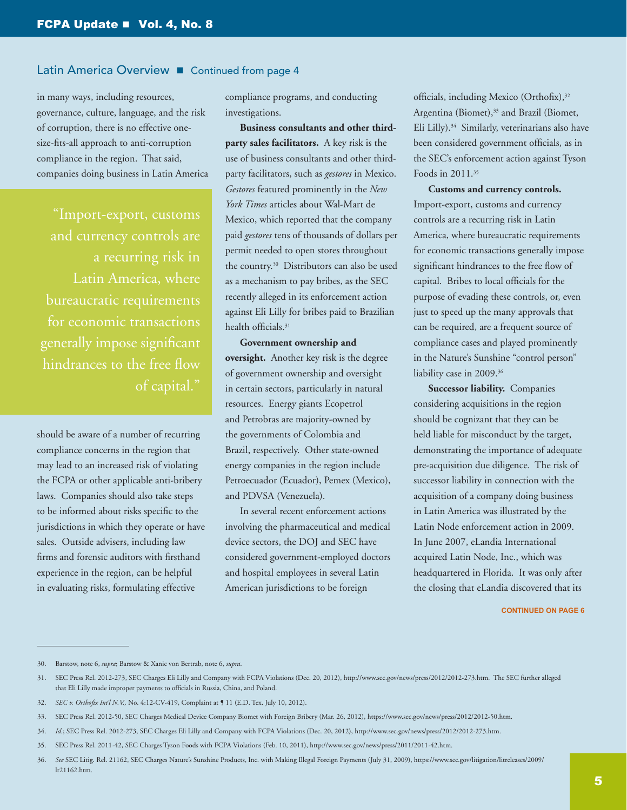in many ways, including resources, governance, culture, language, and the risk of corruption, there is no effective onesize-fits-all approach to anti-corruption compliance in the region. That said, companies doing business in Latin America

"Import-export, customs Latin America, where bureaucratic requirements for economic transactions generally impose significant hindrances to the free flow of capital."

should be aware of a number of recurring compliance concerns in the region that may lead to an increased risk of violating the FCPA or other applicable anti-bribery laws. Companies should also take steps to be informed about risks specific to the jurisdictions in which they operate or have sales. Outside advisers, including law firms and forensic auditors with firsthand experience in the region, can be helpful in evaluating risks, formulating effective

compliance programs, and conducting investigations.

**Business consultants and other thirdparty sales facilitators.** A key risk is the use of business consultants and other thirdparty facilitators, such as *gestores* in Mexico. *Gestores* featured prominently in the *New York Times* articles about Wal-Mart de Mexico, which reported that the company paid *gestores* tens of thousands of dollars per permit needed to open stores throughout the country.30 Distributors can also be used as a mechanism to pay bribes, as the SEC recently alleged in its enforcement action against Eli Lilly for bribes paid to Brazilian health officials.31

**Government ownership and oversight.** Another key risk is the degree of government ownership and oversight in certain sectors, particularly in natural resources. Energy giants Ecopetrol and Petrobras are majority-owned by the governments of Colombia and Brazil, respectively. Other state-owned energy companies in the region include Petroecuador (Ecuador), Pemex (Mexico), and PDVSA (Venezuela).

In several recent enforcement actions involving the pharmaceutical and medical device sectors, the DOJ and SEC have considered government-employed doctors and hospital employees in several Latin American jurisdictions to be foreign

officials, including Mexico (Orthofix),<sup>32</sup> Argentina (Biomet),<sup>33</sup> and Brazil (Biomet, Eli Lilly).34 Similarly, veterinarians also have been considered government officials, as in the SEC's enforcement action against Tyson Foods in 2011.35

**Customs and currency controls.**  Import-export, customs and currency controls are a recurring risk in Latin America, where bureaucratic requirements for economic transactions generally impose significant hindrances to the free flow of capital. Bribes to local officials for the purpose of evading these controls, or, even just to speed up the many approvals that can be required, are a frequent source of compliance cases and played prominently in the Nature's Sunshine "control person" liability case in 2009.36

**Successor liability.** Companies considering acquisitions in the region should be cognizant that they can be held liable for misconduct by the target, demonstrating the importance of adequate pre-acquisition due diligence. The risk of successor liability in connection with the acquisition of a company doing business in Latin America was illustrated by the Latin Node enforcement action in 2009. In June 2007, eLandia International acquired Latin Node, Inc., which was headquartered in Florida. It was only after the closing that eLandia discovered that its

<sup>30.</sup> Barstow, note 6, *supra*; Barstow & Xanic von Bertrab, note 6, *supra*.

<sup>31.</sup> SEC Press Rel. 2012-273, SEC Charges Eli Lilly and Company with FCPA Violations (Dec. 20, 2012), [http://www.sec.gov/news/press/2012/2012-273.htm.](http://www.sec.gov/news/press/2012/2012-273.htm) The SEC further alleged that Eli Lilly made improper payments to officials in Russia, China, and Poland.

<sup>32.</sup> *SEC v. Orthofix Int'l N.V.,* No. 4:12-CV-419, Complaint at ¶ 11 (E.D. Tex. July 10, 2012).

<sup>33.</sup> SEC Press Rel. 2012-50, SEC Charges Medical Device Company Biomet with Foreign Bribery (Mar. 26, 2012), [https://www.sec.gov/news/press/2012/2012-50.htm.](https://www.sec.gov/news/press/2012/2012-50.htm)

<sup>34.</sup> *Id.*; SEC Press Rel. 2012-273, SEC Charges Eli Lilly and Company with FCPA Violations (Dec. 20, 2012), [http://www.sec.gov/news/press/2012/2012-273.htm.](http://www.sec.gov/news/press/2012/2012-273.htm)

<sup>35.</sup> SEC Press Rel. 2011-42, SEC Charges Tyson Foods with FCPA Violations (Feb. 10, 2011), <http://www.sec.gov/news/press/2011/2011-42.htm>.

<sup>36.</sup> *See* SEC Litig. Rel. 21162, SEC Charges Nature's Sunshine Products, Inc. with Making Illegal Foreign Payments (July 31, 2009), [https://www.sec.gov/litigation/litreleases/2009/](https://www.sec.gov/litigation/litreleases/2009/lr21162.htm) [lr21162.htm.](https://www.sec.gov/litigation/litreleases/2009/lr21162.htm)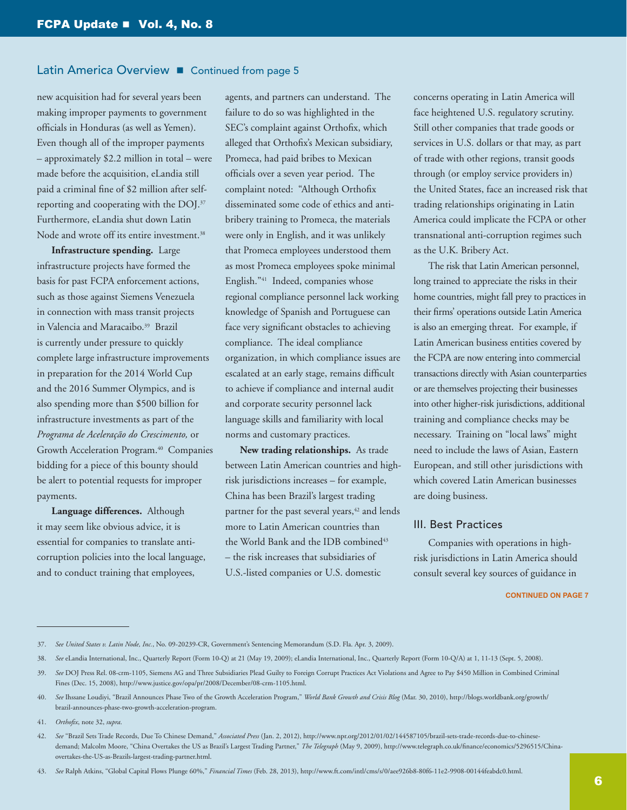new acquisition had for several years been making improper payments to government officials in Honduras (as well as Yemen). Even though all of the improper payments – approximately \$2.2 million in total – were made before the acquisition, eLandia still paid a criminal fine of \$2 million after selfreporting and cooperating with the DOJ.37 Furthermore, eLandia shut down Latin Node and wrote off its entire investment.<sup>38</sup>

**Infrastructure spending.** Large infrastructure projects have formed the basis for past FCPA enforcement actions, such as those against Siemens Venezuela in connection with mass transit projects in Valencia and Maracaibo.39 Brazil is currently under pressure to quickly complete large infrastructure improvements in preparation for the 2014 World Cup and the 2016 Summer Olympics, and is also spending more than \$500 billion for infrastructure investments as part of the *Programa de Aceleração do Crescimento,* or Growth Acceleration Program.<sup>40</sup> Companies bidding for a piece of this bounty should be alert to potential requests for improper payments.

**Language differences.** Although it may seem like obvious advice, it is essential for companies to translate anticorruption policies into the local language, and to conduct training that employees,

agents, and partners can understand. The failure to do so was highlighted in the SEC's complaint against Orthofix, which alleged that Orthofix's Mexican subsidiary, Promeca, had paid bribes to Mexican officials over a seven year period. The complaint noted: "Although Orthofix disseminated some code of ethics and antibribery training to Promeca, the materials were only in English, and it was unlikely that Promeca employees understood them as most Promeca employees spoke minimal English."41 Indeed, companies whose regional compliance personnel lack working knowledge of Spanish and Portuguese can face very significant obstacles to achieving compliance. The ideal compliance organization, in which compliance issues are escalated at an early stage, remains difficult to achieve if compliance and internal audit and corporate security personnel lack language skills and familiarity with local norms and customary practices.

**New trading relationships.** As trade between Latin American countries and highrisk jurisdictions increases – for example, China has been Brazil's largest trading partner for the past several years,<sup>42</sup> and lends more to Latin American countries than the World Bank and the IDB combined<sup>43</sup> – the risk increases that subsidiaries of U.S.-listed companies or U.S. domestic

concerns operating in Latin America will face heightened U.S. regulatory scrutiny. Still other companies that trade goods or services in U.S. dollars or that may, as part of trade with other regions, transit goods through (or employ service providers in) the United States, face an increased risk that trading relationships originating in Latin America could implicate the FCPA or other transnational anti-corruption regimes such as the U.K. Bribery Act.

The risk that Latin American personnel, long trained to appreciate the risks in their home countries, might fall prey to practices in their firms' operations outside Latin America is also an emerging threat. For example, if Latin American business entities covered by the FCPA are now entering into commercial transactions directly with Asian counterparties or are themselves projecting their businesses into other higher-risk jurisdictions, additional training and compliance checks may be necessary. Training on "local laws" might need to include the laws of Asian, Eastern European, and still other jurisdictions with which covered Latin American businesses are doing business.

## III. Best Practices

Companies with operations in highrisk jurisdictions in Latin America should consult several key sources of guidance in

#### **CONTINUED ON PAGE 7**

43. *See* Ralph Atkins, "Global Capital Flows Plunge 60%," *Financial Times* (Feb. 28, 2013), [http://www.ft.com/intl/cms/s/0/aee926b8-80f6-11e2-9908-00144feabdc0.html.](http://www.ft.com/intl/cms/s/0/aee926b8-80f6-11e2-9908-00144feabdc0.html)

<sup>37.</sup> *See United States v. Latin Node, Inc.*, No. 09-20239-CR, Government's Sentencing Memorandum (S.D. Fla. Apr. 3, 2009).

<sup>38.</sup> *See* eLandia International, Inc., Quarterly Report (Form 10-Q) at 21 (May 19, 2009); eLandia International, Inc., Quarterly Report (Form 10-Q/A) at 1, 11-13 (Sept. 5, 2008).

<sup>39.</sup> *See* DOJ Press Rel. 08-crm-1105, Siemens AG and Three Subsidiaries Plead Guilty to Foreign Corrupt Practices Act Violations and Agree to Pay \$450 Million in Combined Criminal Fines (Dec. 15, 2008), [http://www.justice.gov/opa/pr/2008/December/08-crm-1105.html.](http://www.justice.gov/opa/pr/2008/December/08-crm-1105.html)

<sup>40.</sup> *See* Ihssane Loudiyi, "Brazil Announces Phase Two of the Growth Acceleration Program," *World Bank Growth and Crisis Blog* (Mar. 30, 2010), [http://blogs.worldbank.org/growth/](http://blogs.worldbank.org/growth/brazil-announces-phase-two-growth-acceleration-program) [brazil-announces-phase-two-growth-acceleration-program](http://blogs.worldbank.org/growth/brazil-announces-phase-two-growth-acceleration-program).

<sup>41.</sup> *Orthofix*, note 32, *supra*.

<sup>42.</sup> *See* "Brazil Sets Trade Records, Due To Chinese Demand," *Associated Press* (Jan. 2, 2012), [http://www.npr.org/2012/01/02/144587105/brazil-sets-trade-records-due-to-chinese](http://www.npr.org/2012/01/02/144587105/brazil-sets-trade-records-due-to-chinese-demand)[demand;](http://www.npr.org/2012/01/02/144587105/brazil-sets-trade-records-due-to-chinese-demand) Malcolm Moore, "China Overtakes the US as Brazil's Largest Trading Partner," *The Telegraph* (May 9, 2009), [http://www.telegraph.co.uk/finance/economics/5296515/China](http://www.telegraph.co.uk/finance/economics/5296515/China-overtakes-the-US-as-Brazils-largest-trading-partner.html)[overtakes-the-US-as-Brazils-largest-trading-partner.html](http://www.telegraph.co.uk/finance/economics/5296515/China-overtakes-the-US-as-Brazils-largest-trading-partner.html).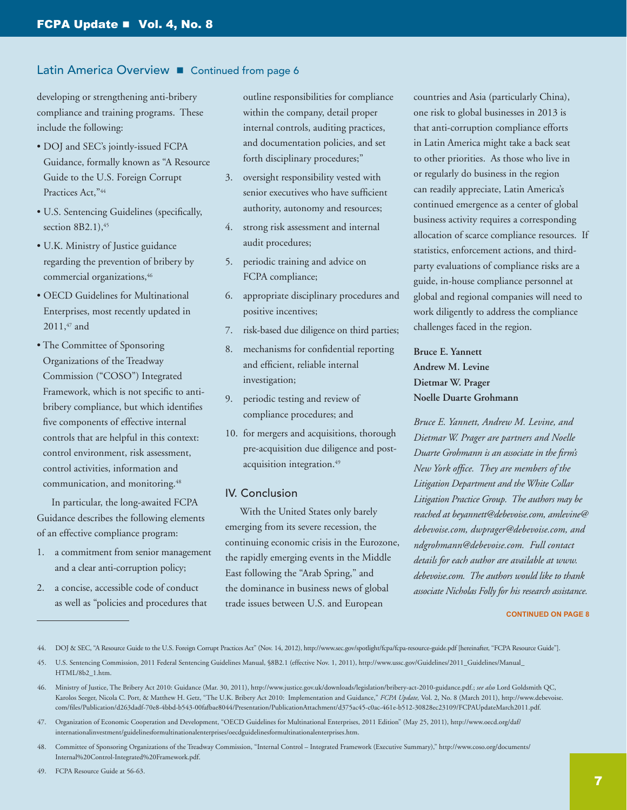developing or strengthening anti-bribery compliance and training programs. These include the following:

- DOJ and SEC's jointly-issued FCPA Guidance, formally known as "A Resource Guide to the U.S. Foreign Corrupt Practices Act,"44
- U.S. Sentencing Guidelines (specifically, section  $8B2.1$ ),  $45$
- U.K. Ministry of Justice guidance regarding the prevention of bribery by commercial organizations, 46
- OECD Guidelines for Multinational Enterprises, most recently updated in 2011,<sup>47</sup> and
- The Committee of Sponsoring Organizations of the Treadway Commission ("COSO") Integrated Framework, which is not specific to antibribery compliance, but which identifies five components of effective internal controls that are helpful in this context: control environment, risk assessment, control activities, information and communication, and monitoring.<sup>48</sup>

In particular, the long-awaited FCPA Guidance describes the following elements of an effective compliance program:

- 1. a commitment from senior management and a clear anti-corruption policy;
- 2. a concise, accessible code of conduct as well as "policies and procedures that

outline responsibilities for compliance within the company, detail proper internal controls, auditing practices, and documentation policies, and set forth disciplinary procedures;"

- 3. oversight responsibility vested with senior executives who have sufficient authority, autonomy and resources;
- 4. strong risk assessment and internal audit procedures;
- 5. periodic training and advice on FCPA compliance;
- 6. appropriate disciplinary procedures and positive incentives;
- 7. risk-based due diligence on third parties;
- 8. mechanisms for confidential reporting and efficient, reliable internal investigation;
- 9. periodic testing and review of compliance procedures; and
- 10. for mergers and acquisitions, thorough pre-acquisition due diligence and postacquisition integration.<sup>49</sup>

### IV. Conclusion

With the United States only barely emerging from its severe recession, the continuing economic crisis in the Eurozone, the rapidly emerging events in the Middle East following the "Arab Spring," and the dominance in business news of global trade issues between U.S. and European

countries and Asia (particularly China), one risk to global businesses in 2013 is that anti-corruption compliance efforts in Latin America might take a back seat to other priorities. As those who live in or regularly do business in the region can readily appreciate, Latin America's continued emergence as a center of global business activity requires a corresponding allocation of scarce compliance resources. If statistics, enforcement actions, and thirdparty evaluations of compliance risks are a guide, in-house compliance personnel at global and regional companies will need to work diligently to address the compliance challenges faced in the region.

# **Bruce E. Yannett Andrew M. Levine Dietmar W. Prager Noelle Duarte Grohmann**

*Bruce E. Yannett, Andrew M. Levine, and Dietmar W. Prager are partners and Noelle Duarte Grohmann is an associate in the firm's New York office. They are members of the Litigation Department and the White Collar Litigation Practice Group. The authors may be reached at [beyannett@debevoise.com,](mailto:beyannett%40debevoise.com?subject=) [amlevine@](mailto:amlevine%40debevoise.com?subject=) [debevoise.com,](mailto:amlevine%40debevoise.com?subject=) [dwprager@debevoise.com](mailto:dwprager%40debevoise.com?subject=), and [ndgrohmann@debevoise.com.](mailto:ndgrohmann%40debevoise.com?subject=) Full contact details for each author are available at [www.](www.debevoise.com) [debevoise.com](www.debevoise.com). The authors would like to thank associate Nicholas Folly for his research assistance.*

44. DOJ & SEC, "A Resource Guide to the U.S. Foreign Corrupt Practices Act" (Nov. 14, 2012), <http://www.sec.gov/spotlight/fcpa/fcpa-resource-guide.pdf>[hereinafter, "FCPA Resource Guide"].

<sup>45.</sup> U.S. Sentencing Commission, 2011 Federal Sentencing Guidelines Manual, §8B2.1 (effective Nov. 1, 2011), [http://www.ussc.gov/Guidelines/2011\\_Guidelines/Manual\\_](http://www.ussc.gov/Guidelines/2011_Guidelines/Manual_HTML/8b2_1.htm) [HTML/8b2\\_1.htm](http://www.ussc.gov/Guidelines/2011_Guidelines/Manual_HTML/8b2_1.htm).

<sup>46.</sup> Ministry of Justice, The Bribery Act 2010: Guidance (Mar. 30, 2011),<http://www.justice.gov.uk/downloads/legislation/bribery-act-2010-guidance.pdf>.; *see also* Lord Goldsmith QC, Karolos Seeger, Nicola C. Port, & Matthew H. Getz, "The U.K. Bribery Act 2010: Implementation and Guidance," *FCPA Update,* Vol. 2, No. 8 (March 2011), [http://www.debevoise.](http://www.debevoise.com/files/Publication/d263dadf-70e8-4bbd-b543-00fafbae8044/Presentation/PublicationAttachment/d375ac45-c0ac-461e-b512-30828ec23109/FCPAUpdateMarch2011.pdf) [com/files/Publication/d263dadf-70e8-4bbd-b543-00fafbae8044/Presentation/PublicationAttachment/d375ac45-c0ac-461e-b512-30828ec23109/FCPAUpdateMarch2011.pdf.](http://www.debevoise.com/files/Publication/d263dadf-70e8-4bbd-b543-00fafbae8044/Presentation/PublicationAttachment/d375ac45-c0ac-461e-b512-30828ec23109/FCPAUpdateMarch2011.pdf)

<sup>47.</sup> Organization of Economic Cooperation and Development, "OECD Guidelines for Multinational Enterprises, 2011 Edition" (May 25, 2011), [http://www.oecd.org/daf/](http://www.oecd.org/daf/internationalinvestment/guidelinesformultinationalenterprises/oecdguidelinesformultinationalenterprises.htm) [internationalinvestment/guidelinesformultinationalenterprises/oecdguidelinesformultinationalenterprises.htm](http://www.oecd.org/daf/internationalinvestment/guidelinesformultinationalenterprises/oecdguidelinesformultinationalenterprises.htm).

<sup>48.</sup> Committee of Sponsoring Organizations of the Treadway Commission, "Internal Control – Integrated Framework (Executive Summary)," [http://www.coso.org/documents/](http://www.coso.org/documents/Internal%2520Control-Integrated%2520Framework.pdf) [Internal%20Control-Integrated%20Framework.pdf](http://www.coso.org/documents/Internal%2520Control-Integrated%2520Framework.pdf).

<sup>49.</sup> FCPA Resource Guide at 56-63.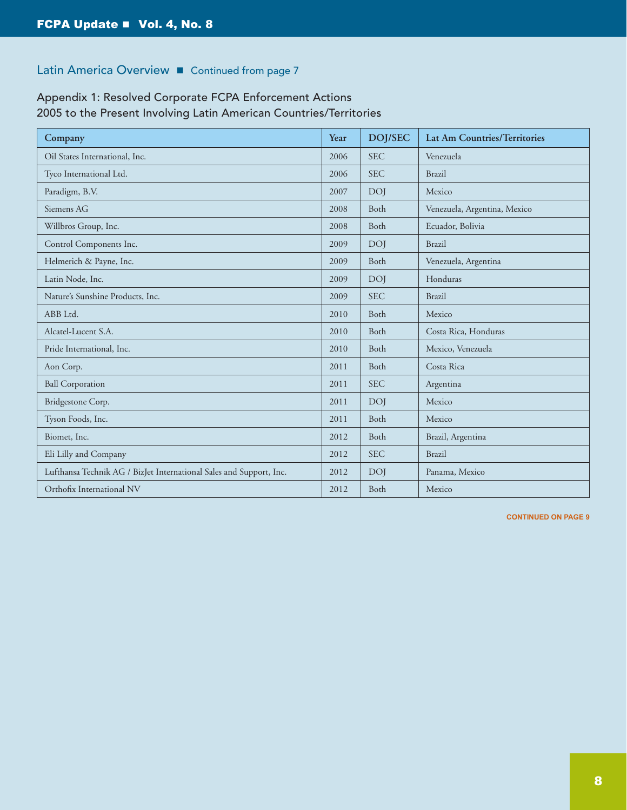# Appendix 1: Resolved Corporate FCPA Enforcement Actions 2005 to the Present Involving Latin American Countries/Territories

| Company                                                             | Year | <b>DOJ/SEC</b> | <b>Lat Am Countries/Territories</b> |
|---------------------------------------------------------------------|------|----------------|-------------------------------------|
| Oil States International, Inc.                                      | 2006 | <b>SEC</b>     | Venezuela                           |
| Tyco International Ltd.                                             | 2006 | <b>SEC</b>     | <b>Brazil</b>                       |
| Paradigm, B.V.                                                      | 2007 | <b>DOI</b>     | Mexico                              |
| Siemens AG                                                          | 2008 | Both           | Venezuela, Argentina, Mexico        |
| Willbros Group, Inc.                                                | 2008 | Both           | Ecuador, Bolivia                    |
| Control Components Inc.                                             | 2009 | <b>DOI</b>     | <b>Brazil</b>                       |
| Helmerich & Payne, Inc.                                             | 2009 | <b>Both</b>    | Venezuela, Argentina                |
| Latin Node, Inc.                                                    | 2009 | <b>DOI</b>     | Honduras                            |
| Nature's Sunshine Products, Inc.                                    | 2009 | <b>SEC</b>     | <b>Brazil</b>                       |
| ABB Ltd.                                                            | 2010 | Both           | Mexico                              |
| Alcatel-Lucent S.A.                                                 | 2010 | Both           | Costa Rica, Honduras                |
| Pride International, Inc.                                           | 2010 | Both           | Mexico, Venezuela                   |
| Aon Corp.                                                           | 2011 | <b>Both</b>    | Costa Rica                          |
| <b>Ball Corporation</b>                                             | 2011 | <b>SEC</b>     | Argentina                           |
| Bridgestone Corp.                                                   | 2011 | <b>DOI</b>     | Mexico                              |
| Tyson Foods, Inc.                                                   | 2011 | Both           | Mexico                              |
| Biomet, Inc.                                                        | 2012 | Both           | Brazil, Argentina                   |
| Eli Lilly and Company                                               | 2012 | <b>SEC</b>     | <b>Brazil</b>                       |
| Lufthansa Technik AG / BizJet International Sales and Support, Inc. | 2012 | <b>DOI</b>     | Panama, Mexico                      |
| Orthofix International NV                                           | 2012 | Both           | Mexico                              |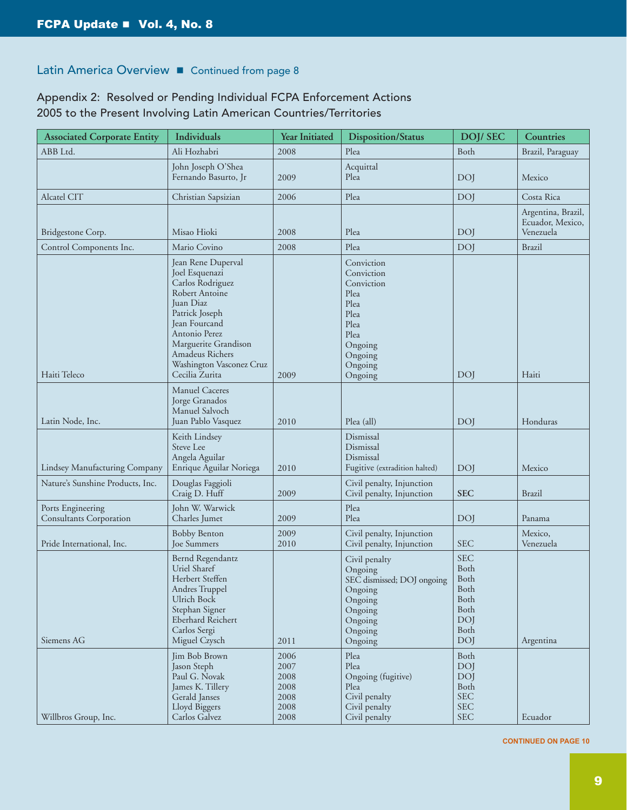# Appendix 2: Resolved or Pending Individual FCPA Enforcement Actions 2005 to the Present Involving Latin American Countries/Territories

| <b>Associated Corporate Entity</b>                  | Individuals                                                                                                                                                                                                                                 | Year Initiated                                       | <b>Disposition/Status</b>                                                                                                  | <b>DOJ/SEC</b>                                                                         | Countries                                           |
|-----------------------------------------------------|---------------------------------------------------------------------------------------------------------------------------------------------------------------------------------------------------------------------------------------------|------------------------------------------------------|----------------------------------------------------------------------------------------------------------------------------|----------------------------------------------------------------------------------------|-----------------------------------------------------|
| ABB Ltd.                                            | Ali Hozhabri                                                                                                                                                                                                                                | 2008                                                 | Plea                                                                                                                       | Both                                                                                   | Brazil, Paraguay                                    |
|                                                     | John Joseph O'Shea<br>Fernando Basurto, Jr                                                                                                                                                                                                  | 2009                                                 | Acquittal<br>Plea                                                                                                          | <b>DOI</b>                                                                             | Mexico                                              |
| Alcatel CIT                                         | Christian Sapsizian                                                                                                                                                                                                                         | 2006                                                 | Plea                                                                                                                       | <b>DOI</b>                                                                             | Costa Rica                                          |
| Bridgestone Corp.                                   | Misao Hioki                                                                                                                                                                                                                                 | 2008                                                 | Plea                                                                                                                       | <b>DOI</b>                                                                             | Argentina, Brazil,<br>Ecuador, Mexico,<br>Venezuela |
| Control Components Inc.                             | Mario Covino                                                                                                                                                                                                                                | 2008                                                 | Plea                                                                                                                       | <b>DOJ</b>                                                                             | <b>Brazil</b>                                       |
| Haiti Teleco                                        | Jean Rene Duperval<br>Joel Esquenazi<br>Carlos Rodriguez<br>Robert Antoine<br>Juan Diaz<br>Patrick Joseph<br><b>Jean Fourcand</b><br>Antonio Perez<br>Marguerite Grandison<br>Amadeus Richers<br>Washington Vasconez Cruz<br>Cecilia Zurita | 2009                                                 | Conviction<br>Conviction<br>Conviction<br>Plea<br>Plea<br>Plea<br>Plea<br>Plea<br>Ongoing<br>Ongoing<br>Ongoing<br>Ongoing | <b>DOI</b>                                                                             | Haiti                                               |
| Latin Node, Inc.                                    | <b>Manuel Caceres</b><br>Jorge Granados<br>Manuel Salvoch<br>Juan Pablo Vasquez                                                                                                                                                             | 2010                                                 | Plea (all)                                                                                                                 | <b>DO</b>                                                                              | Honduras                                            |
| Lindsey Manufacturing Company                       | Keith Lindsey<br>Steve Lee<br>Angela Aguilar<br>Enrique Aguilar Noriega                                                                                                                                                                     | 2010                                                 | Dismissal<br>Dismissal<br>Dismissal<br>Fugitive (extradition halted)                                                       | <b>DOI</b>                                                                             | Mexico                                              |
| Nature's Sunshine Products, Inc.                    | Douglas Faggioli<br>Craig D. Huff                                                                                                                                                                                                           | 2009                                                 | Civil penalty, Injunction<br>Civil penalty, Injunction                                                                     | <b>SEC</b>                                                                             | <b>Brazil</b>                                       |
| Ports Engineering<br><b>Consultants Corporation</b> | John W. Warwick<br>Charles Jumet                                                                                                                                                                                                            | 2009                                                 | Plea<br>Plea                                                                                                               | <b>DOJ</b>                                                                             | Panama                                              |
| Pride International, Inc.                           | <b>Bobby Benton</b><br><b>Joe Summers</b>                                                                                                                                                                                                   | 2009<br>2010                                         | Civil penalty, Injunction<br>Civil penalty, Injunction                                                                     | <b>SEC</b>                                                                             | Mexico,<br>Venezuela                                |
| Siemens AG                                          | Bernd Regendantz<br>Uriel Sharef<br>Herbert Steffen<br>Andres Truppel<br><b>Ulrich Bock</b><br>Stephan Signer<br>Eberhard Reichert<br>Carlos Sergi<br>Miguel Czysch                                                                         | 2011                                                 | Civil penalty<br>Ongoing<br>SEC dismissed; DOJ ongoing<br>Ongoing<br>Ongoing<br>Ongoing<br>Ongoing<br>Ongoing<br>Ongoing   | <b>SEC</b><br>Both<br>Both<br>Both<br>Both<br>Both<br><b>DOJ</b><br>Both<br><b>DOI</b> | Argentina                                           |
| Willbros Group, Inc.                                | Jim Bob Brown<br>Jason Steph<br>Paul G. Novak<br>James K. Tillery<br>Gerald Janses<br>Lloyd Biggers<br>Carlos Galvez                                                                                                                        | 2006<br>2007<br>2008<br>2008<br>2008<br>2008<br>2008 | Plea<br>Plea<br>Ongoing (fugitive)<br>Plea<br>Civil penalty<br>Civil penalty<br>Civil penalty                              | Both<br><b>DOJ</b><br><b>DOI</b><br>Both<br><b>SEC</b><br><b>SEC</b><br><b>SEC</b>     | Ecuador                                             |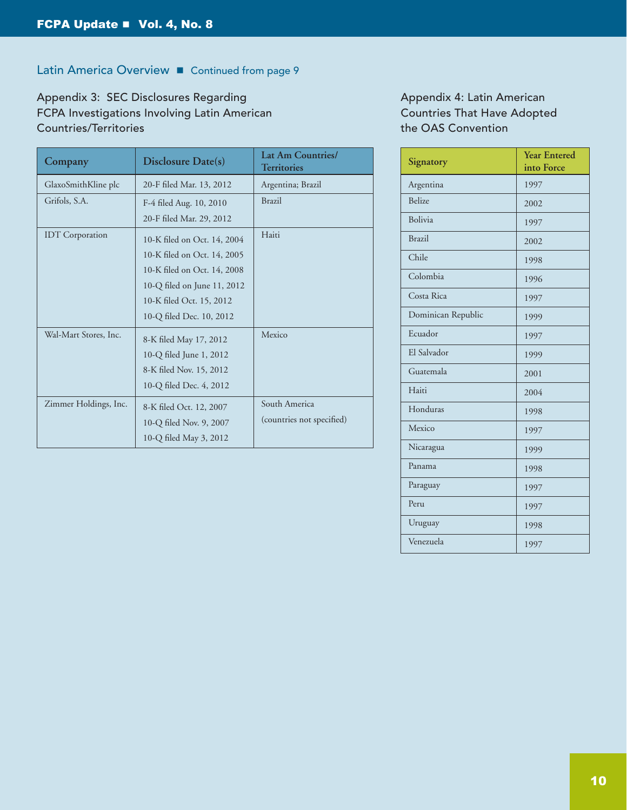Appendix 3: SEC Disclosures Regarding FCPA Investigations Involving Latin American Countries/Territories

| Company                | Disclosure Date(s)          | <b>Lat Am Countries/</b><br><b>Territories</b> |  |
|------------------------|-----------------------------|------------------------------------------------|--|
| GlaxoSmithKline plc    | 20-F filed Mar. 13, 2012    | Argentina; Brazil                              |  |
| Grifols, S.A.          | F-4 filed Aug. 10, 2010     | <b>Brazil</b>                                  |  |
|                        | 20-F filed Mar. 29, 2012    |                                                |  |
| <b>IDT</b> Corporation | 10-K filed on Oct. 14, 2004 | Haiti                                          |  |
|                        | 10-K filed on Oct. 14, 2005 |                                                |  |
|                        | 10-K filed on Oct. 14, 2008 |                                                |  |
|                        | 10-Q filed on June 11, 2012 |                                                |  |
|                        | 10-K filed Oct. 15, 2012    |                                                |  |
|                        | 10-Q filed Dec. 10, 2012    |                                                |  |
| Wal-Mart Stores, Inc.  | 8-K filed May 17, 2012      | Mexico                                         |  |
|                        | 10-Q filed June 1, 2012     |                                                |  |
|                        | 8-K filed Nov. 15, 2012     |                                                |  |
|                        | 10-Q filed Dec. 4, 2012     |                                                |  |
| Zimmer Holdings, Inc.  | 8-K filed Oct. 12, 2007     | South America                                  |  |
|                        | 10-Q filed Nov. 9, 2007     | (countries not specified)                      |  |
|                        | 10-Q filed May 3, 2012      |                                                |  |

Appendix 4: Latin American Countries That Have Adopted the OAS Convention

| Signatory          | <b>Year Entered</b><br>into Force |
|--------------------|-----------------------------------|
| Argentina          | 1997                              |
| <b>Belize</b>      | 2002                              |
| <b>Bolivia</b>     | 1997                              |
| <b>Brazil</b>      | 2002                              |
| Chile              | 1998                              |
| Colombia           | 1996                              |
| Costa Rica         | 1997                              |
| Dominican Republic | 1999                              |
| Ecuador            | 1997                              |
| El Salvador        | 1999                              |
| Guatemala          | 2001                              |
| Haiti              | 2004                              |
| Honduras           | 1998                              |
| Mexico             | 1997                              |
| Nicaragua          | 1999                              |
| Panama             | 1998                              |
| Paraguay           | 1997                              |
| Peru               | 1997                              |
| Uruguay            | 1998                              |
| Venezuela          | 1997                              |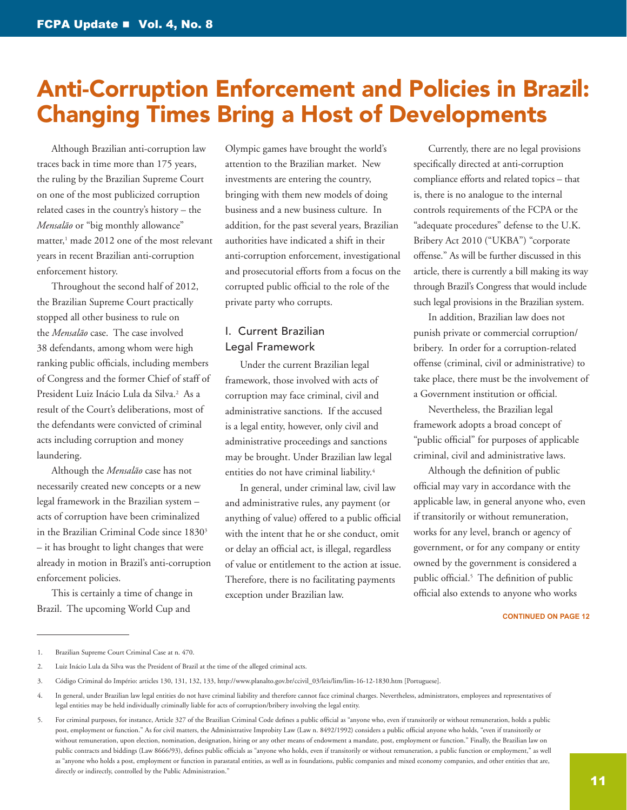# <span id="page-10-0"></span>Anti-Corruption Enforcement and Policies in Brazil: Changing Times Bring a Host of Developments

Although Brazilian anti-corruption law traces back in time more than 175 years, the ruling by the Brazilian Supreme Court on one of the most publicized corruption related cases in the country's history – the *Mensalão* or "big monthly allowance" matter,<sup>1</sup> made 2012 one of the most relevant years in recent Brazilian anti-corruption enforcement history.

Throughout the second half of 2012, the Brazilian Supreme Court practically stopped all other business to rule on the *Mensalão* case. The case involved 38 defendants, among whom were high ranking public officials, including members of Congress and the former Chief of staff of President Luiz Inácio Lula da Silva.<sup>2</sup> As a result of the Court's deliberations, most of the defendants were convicted of criminal acts including corruption and money laundering.

Although the *Mensalão* case has not necessarily created new concepts or a new legal framework in the Brazilian system – acts of corruption have been criminalized in the Brazilian Criminal Code since 1830<sup>3</sup> – it has brought to light changes that were already in motion in Brazil's anti-corruption enforcement policies.

This is certainly a time of change in Brazil. The upcoming World Cup and

Olympic games have brought the world's attention to the Brazilian market. New investments are entering the country, bringing with them new models of doing business and a new business culture. In addition, for the past several years, Brazilian authorities have indicated a shift in their anti-corruption enforcement, investigational and prosecutorial efforts from a focus on the corrupted public official to the role of the private party who corrupts.

# I. Current Brazilian Legal Framework

Under the current Brazilian legal framework, those involved with acts of corruption may face criminal, civil and administrative sanctions. If the accused is a legal entity, however, only civil and administrative proceedings and sanctions may be brought. Under Brazilian law legal entities do not have criminal liability.<sup>4</sup>

In general, under criminal law, civil law and administrative rules, any payment (or anything of value) offered to a public official with the intent that he or she conduct, omit or delay an official act, is illegal, regardless of value or entitlement to the action at issue. Therefore, there is no facilitating payments exception under Brazilian law.

Currently, there are no legal provisions specifically directed at anti-corruption compliance efforts and related topics – that is, there is no analogue to the internal controls requirements of the FCPA or the "adequate procedures" defense to the U.K. Bribery Act 2010 ("UKBA") "corporate offense." As will be further discussed in this article, there is currently a bill making its way through Brazil's Congress that would include such legal provisions in the Brazilian system.

In addition, Brazilian law does not punish private or commercial corruption/ bribery. In order for a corruption-related offense (criminal, civil or administrative) to take place, there must be the involvement of a Government institution or official.

Nevertheless, the Brazilian legal framework adopts a broad concept of "public official" for purposes of applicable criminal, civil and administrative laws.

Although the definition of public official may vary in accordance with the applicable law, in general anyone who, even if transitorily or without remuneration, works for any level, branch or agency of government, or for any company or entity owned by the government is considered a public official.5 The definition of public official also extends to anyone who works

<sup>1.</sup> Brazilian Supreme Court Criminal Case at n. 470.

<sup>2.</sup> Luiz Inácio Lula da Silva was the President of Brazil at the time of the alleged criminal acts.

<sup>3.</sup> Código Criminal do Império: articles 130, 131, 132, 133, [http://www.planalto.gov.br/ccivil\\_03/leis/lim/lim-16-12-1830.htm](http://www.planalto.gov.br/ccivil_03/leis/lim/lim-16-12-1830.htm) [Portuguese].

<sup>4.</sup> In general, under Brazilian law legal entities do not have criminal liability and therefore cannot face criminal charges. Nevertheless, administrators, employees and representatives of legal entities may be held individually criminally liable for acts of corruption/bribery involving the legal entity.

<sup>5.</sup> For criminal purposes, for instance, Article 327 of the Brazilian Criminal Code defines a public official as "anyone who, even if transitorily or without remuneration, holds a public post, employment or function." As for civil matters, the Administrative Improbity Law (Law n. 8492/1992) considers a public official anyone who holds, "even if transitorily or without remuneration, upon election, nomination, designation, hiring or any other means of endowment a mandate, post, employment or function." Finally, the Brazilian law on public contracts and biddings (Law 8666/93), defines public officials as "anyone who holds, even if transitorily or without remuneration, a public function or employment," as well as "anyone who holds a post, employment or function in parastatal entities, as well as in foundations, public companies and mixed economy companies, and other entities that are, directly or indirectly, controlled by the Public Administration."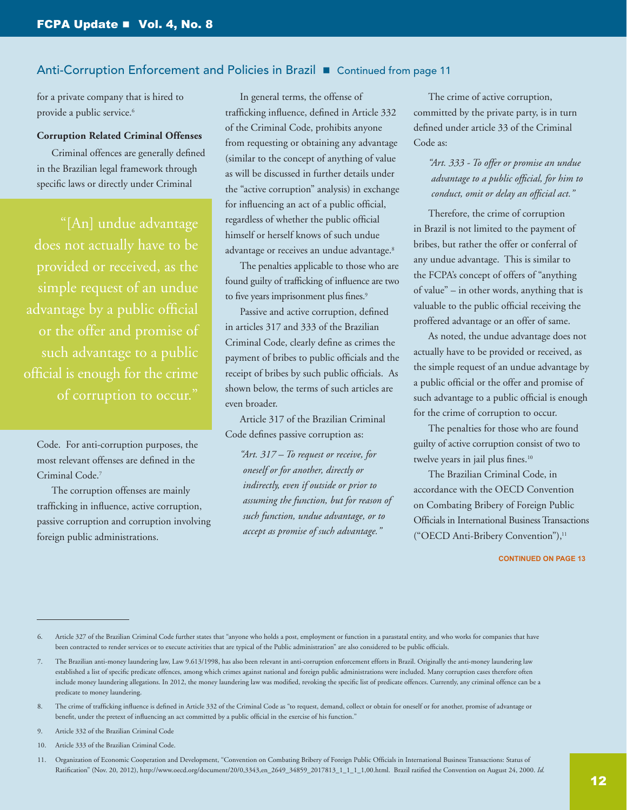# Anti-Corruption Enforcement and Policies in Brazil **n** Continued from page 11

for a private company that is hired to provide a public service.<sup>6</sup>

## **Corruption Related Criminal Offenses**

Criminal offences are generally defined in the Brazilian legal framework through specific laws or directly under Criminal

"[An] undue advantage does not actually have to be provided or received, as the simple request of an undue advantage by a public official or the offer and promise of such advantage to a public official is enough for the crime of corruption to occur."

Code. For anti-corruption purposes, the most relevant offenses are defined in the Criminal Code.7

The corruption offenses are mainly trafficking in influence, active corruption, passive corruption and corruption involving foreign public administrations.

In general terms, the offense of trafficking influence, defined in Article 332 of the Criminal Code, prohibits anyone from requesting or obtaining any advantage (similar to the concept of anything of value as will be discussed in further details under the "active corruption" analysis) in exchange for influencing an act of a public official, regardless of whether the public official himself or herself knows of such undue advantage or receives an undue advantage.<sup>8</sup>

The penalties applicable to those who are found guilty of trafficking of influence are two to five years imprisonment plus fines.<sup>9</sup>

Passive and active corruption, defined in articles 317 and 333 of the Brazilian Criminal Code, clearly define as crimes the payment of bribes to public officials and the receipt of bribes by such public officials. As shown below, the terms of such articles are even broader.

Article 317 of the Brazilian Criminal Code defines passive corruption as:

*"Art. 317 – To request or receive, for oneself or for another, directly or indirectly, even if outside or prior to assuming the function, but for reason of such function, undue advantage, or to accept as promise of such advantage."*

The crime of active corruption, committed by the private party, is in turn defined under article 33 of the Criminal Code as:

# *"Art. 333 - To offer or promise an undue advantage to a public official, for him to conduct, omit or delay an official act."*

Therefore, the crime of corruption in Brazil is not limited to the payment of bribes, but rather the offer or conferral of any undue advantage. This is similar to the FCPA's concept of offers of "anything of value" – in other words, anything that is valuable to the public official receiving the proffered advantage or an offer of same.

As noted, the undue advantage does not actually have to be provided or received, as the simple request of an undue advantage by a public official or the offer and promise of such advantage to a public official is enough for the crime of corruption to occur.

The penalties for those who are found guilty of active corruption consist of two to twelve years in jail plus fines.<sup>10</sup>

The Brazilian Criminal Code, in accordance with the OECD Convention on Combating Bribery of Foreign Public Officials in International Business Transactions ("OECD Anti-Bribery Convention"),<sup>11</sup>

#### **CONTINUED ON PAGE 13**

9. Article 332 of the Brazilian Criminal Code

<sup>6.</sup> Article 327 of the Brazilian Criminal Code further states that "anyone who holds a post, employment or function in a parastatal entity, and who works for companies that have been contracted to render services or to execute activities that are typical of the Public administration" are also considered to be public officials.

<sup>7.</sup> The Brazilian anti-money laundering law, Law 9.613/1998, has also been relevant in anti-corruption enforcement efforts in Brazil. Originally the anti-money laundering law established a list of specific predicate offences, among which crimes against national and foreign public administrations were included. Many corruption cases therefore often include money laundering allegations. In 2012, the money laundering law was modified, revoking the specific list of predicate offences. Currently, any criminal offence can be a predicate to money laundering.

<sup>8.</sup> The crime of trafficking influence is defined in Article 332 of the Criminal Code as "to request, demand, collect or obtain for oneself or for another, promise of advantage or benefit, under the pretext of influencing an act committed by a public official in the exercise of his function."

<sup>10.</sup> Article 333 of the Brazilian Criminal Code.

<sup>11.</sup> Organization of Economic Cooperation and Development, "Convention on Combating Bribery of Foreign Public Officials in International Business Transactions: Status of Ratification" (Nov. 20, 2012), [http://www.oecd.org/document/20/0,3343,en\\_2649\\_34859\\_2017813\\_1\\_1\\_1\\_1,00.html](http://www.oecd.org/document/20/0%2C3343%2Cen_2649_34859_2017813_1_1_1_1%2C00.html). Brazil ratified the Convention on August 24, 2000. *Id.*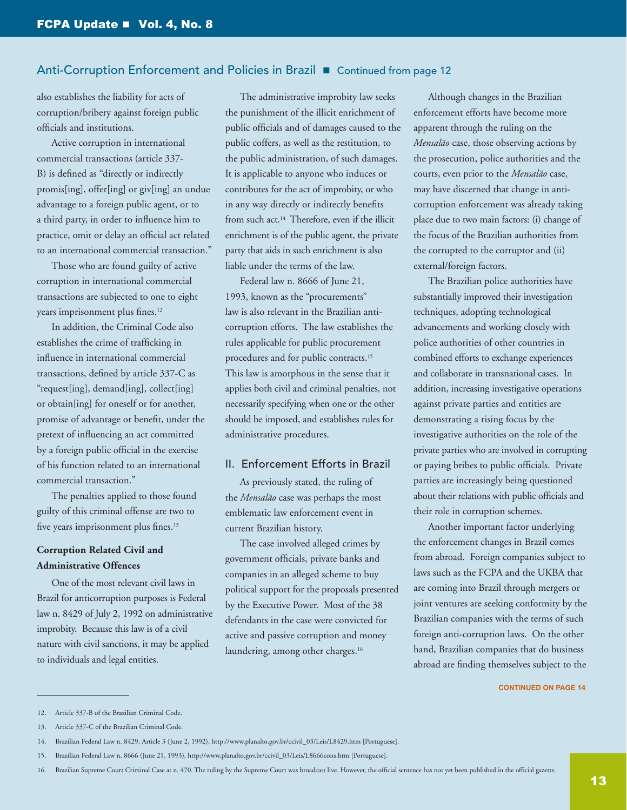## Anti-Corruption Enforcement and Policies in Brazil **E** Continued from page 12

also establishes the liability for acts of corruption/bribery against foreign public officials and institutions.

Active corruption in international commercial transactions (article 337- B) is defined as "directly or indirectly promis[ing], offer[ing] or giv[ing] an undue advantage to a foreign public agent, or to a third party, in order to influence him to practice, omit or delay an official act related to an international commercial transaction."

Those who are found guilty of active corruption in international commercial transactions are subjected to one to eight years imprisonment plus fines.12

In addition, the Criminal Code also establishes the crime of trafficking in influence in international commercial transactions, defined by article 337-C as "request[ing], demand[ing], collect[ing] or obtain[ing] for oneself or for another, promise of advantage or benefit, under the pretext of influencing an act committed by a foreign public official in the exercise of his function related to an international commercial transaction."

The penalties applied to those found guilty of this criminal offense are two to five years imprisonment plus fines.<sup>13</sup>

# **Corruption Related Civil and Administrative Offences**

One of the most relevant civil laws in Brazil for anticorruption purposes is Federal law n. 8429 of July 2, 1992 on administrative improbity. Because this law is of a civil nature with civil sanctions, it may be applied to individuals and legal entities.

The administrative improbity law seeks the punishment of the illicit enrichment of public officials and of damages caused to the public coffers, as well as the restitution, to the public administration, of such damages. It is applicable to anyone who induces or contributes for the act of improbity, or who in any way directly or indirectly benefits from such act.14 Therefore, even if the illicit enrichment is of the public agent, the private party that aids in such enrichment is also liable under the terms of the law.

Federal law n. 8666 of June 21, 1993, known as the "procurements" law is also relevant in the Brazilian anticorruption efforts. The law establishes the rules applicable for public procurement procedures and for public contracts.<sup>15</sup> This law is amorphous in the sense that it applies both civil and criminal penalties, not necessarily specifying when one or the other should be imposed, and establishes rules for administrative procedures.

## II. Enforcement Efforts in Brazil

As previously stated, the ruling of the *Mensalão* case was perhaps the most emblematic law enforcement event in current Brazilian history.

The case involved alleged crimes by government officials, private banks and companies in an alleged scheme to buy political support for the proposals presented by the Executive Power. Most of the 38 defendants in the case were convicted for active and passive corruption and money laundering, among other charges.<sup>16</sup>

Although changes in the Brazilian enforcement efforts have become more apparent through the ruling on the *Mensalão* case, those observing actions by the prosecution, police authorities and the courts, even prior to the *Mensalão* case, may have discerned that change in anticorruption enforcement was already taking place due to two main factors: (i) change of the focus of the Brazilian authorities from the corrupted to the corruptor and (ii) external/foreign factors.

The Brazilian police authorities have substantially improved their investigation techniques, adopting technological advancements and working closely with police authorities of other countries in combined efforts to exchange experiences and collaborate in transnational cases. In addition, increasing investigative operations against private parties and entities are demonstrating a rising focus by the investigative authorities on the role of the private parties who are involved in corrupting or paying bribes to public officials. Private parties are increasingly being questioned about their relations with public officials and their role in corruption schemes.

Another important factor underlying the enforcement changes in Brazil comes from abroad. Foreign companies subject to laws such as the FCPA and the UKBA that are coming into Brazil through mergers or joint ventures are seeking conformity by the Brazilian companies with the terms of such foreign anti-corruption laws. On the other hand, Brazilian companies that do business abroad are finding themselves subject to the

<sup>12.</sup> Article 337-B of the Brazilian Criminal Code.

<sup>13.</sup> Article 337-C of the Brazilian Criminal Code.

<sup>14.</sup> Brazilian Federal Law n. 8429, Article 3 (June 2, 1992), [http://www.planalto.gov.br/ccivil\\_03/Leis/L8429.htm](http://www.planalto.gov.br/ccivil_03/Leis/L8429.htm) [Portuguese].

<sup>15.</sup> Brazilian Federal Law n. 8666 (June 21, 1993), [http://www.planalto.gov.br/ccivil\\_03/Leis/L8666cons.htm](http://www.planalto.gov.br/ccivil_03/Leis/L8666cons.htm) [Portuguese].

<sup>16.</sup> Brazilian Supreme Court Criminal Case at n. 470. The ruling by the Supreme Court was broadcast live. However, the official sentence has not yet been published in the official gazette.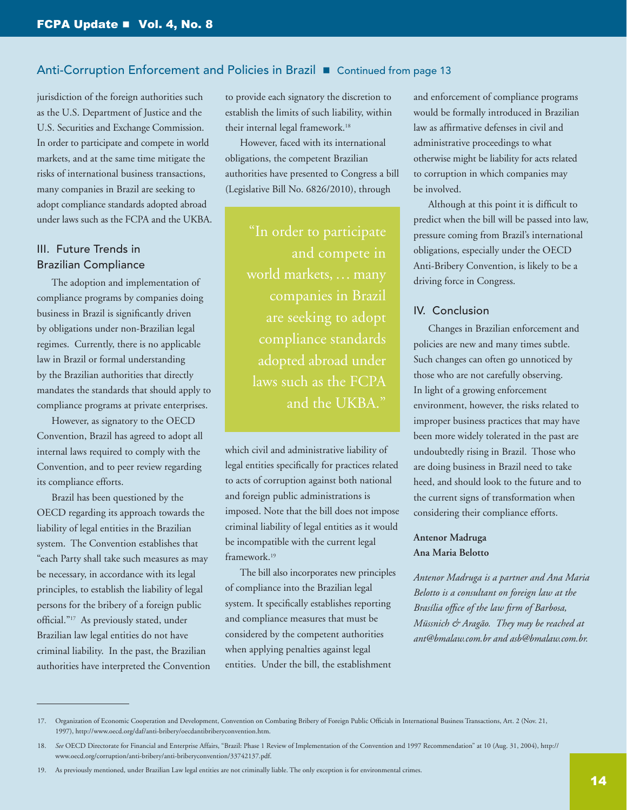# Anti-Corruption Enforcement and Policies in Brazil **E** Continued from page 13

jurisdiction of the foreign authorities such as the U.S. Department of Justice and the U.S. Securities and Exchange Commission. In order to participate and compete in world markets, and at the same time mitigate the risks of international business transactions, many companies in Brazil are seeking to adopt compliance standards adopted abroad under laws such as the FCPA and the UKBA.

# III. Future Trends in Brazilian Compliance

The adoption and implementation of compliance programs by companies doing business in Brazil is significantly driven by obligations under non-Brazilian legal regimes. Currently, there is no applicable law in Brazil or formal understanding by the Brazilian authorities that directly mandates the standards that should apply to compliance programs at private enterprises.

However, as signatory to the OECD Convention, Brazil has agreed to adopt all internal laws required to comply with the Convention, and to peer review regarding its compliance efforts.

Brazil has been questioned by the OECD regarding its approach towards the liability of legal entities in the Brazilian system. The Convention establishes that "each Party shall take such measures as may be necessary, in accordance with its legal principles, to establish the liability of legal persons for the bribery of a foreign public official."17 As previously stated, under Brazilian law legal entities do not have criminal liability. In the past, the Brazilian authorities have interpreted the Convention

to provide each signatory the discretion to establish the limits of such liability, within their internal legal framework.18

However, faced with its international obligations, the competent Brazilian authorities have presented to Congress a bill (Legislative Bill No. 6826/2010), through

> "In order to participate and compete in world markets, … many companies in Brazil are seeking to adopt compliance standards adopted abroad under laws such as the FCPA and the UKBA."

which civil and administrative liability of legal entities specifically for practices related to acts of corruption against both national and foreign public administrations is imposed. Note that the bill does not impose criminal liability of legal entities as it would be incompatible with the current legal framework.19

The bill also incorporates new principles of compliance into the Brazilian legal system. It specifically establishes reporting and compliance measures that must be considered by the competent authorities when applying penalties against legal entities. Under the bill, the establishment

and enforcement of compliance programs would be formally introduced in Brazilian law as affirmative defenses in civil and administrative proceedings to what otherwise might be liability for acts related to corruption in which companies may be involved.

Although at this point it is difficult to predict when the bill will be passed into law, pressure coming from Brazil's international obligations, especially under the OECD Anti-Bribery Convention, is likely to be a driving force in Congress.

## IV. Conclusion

Changes in Brazilian enforcement and policies are new and many times subtle. Such changes can often go unnoticed by those who are not carefully observing. In light of a growing enforcement environment, however, the risks related to improper business practices that may have been more widely tolerated in the past are undoubtedly rising in Brazil. Those who are doing business in Brazil need to take heed, and should look to the future and to the current signs of transformation when considering their compliance efforts.

# **Antenor Madruga Ana Maria Belotto**

*Antenor Madruga is a partner and Ana Maria Belotto is a consultant on foreign law at the Brasília office of the law firm of Barbosa, Müssnich & Aragão. They may be reached at [ant@bmalaw.com.br](mailto:ant%40bmalaw.com.br?subject=) and [asb@bmalaw.com.br](mailto:asb%40bmalaw.com.br?subject=).*

<sup>17.</sup> Organization of Economic Cooperation and Development, Convention on Combating Bribery of Foreign Public Officials in International Business Transactions, Art. 2 (Nov. 21, 1997), [http://www.oecd.org/daf/anti-bribery/oecdantibriberyconvention.htm.](http://www.oecd.org/daf/anti-bribery/oecdantibriberyconvention.htm)

<sup>18.</sup> *See* OECD Directorate for Financial and Enterprise Affairs, "Brazil: Phase 1 Review of Implementation of the Convention and 1997 Recommendation" at 10 (Aug. 31, 2004), [http://](http://www.oecd.org/corruption/anti-bribery/anti-briberyconvention/33742137.pdf) [www.oecd.org/corruption/anti-bribery/anti-briberyconvention/33742137.pdf.](http://www.oecd.org/corruption/anti-bribery/anti-briberyconvention/33742137.pdf)

<sup>19.</sup> As previously mentioned, under Brazilian Law legal entities are not criminally liable. The only exception is for environmental crimes.